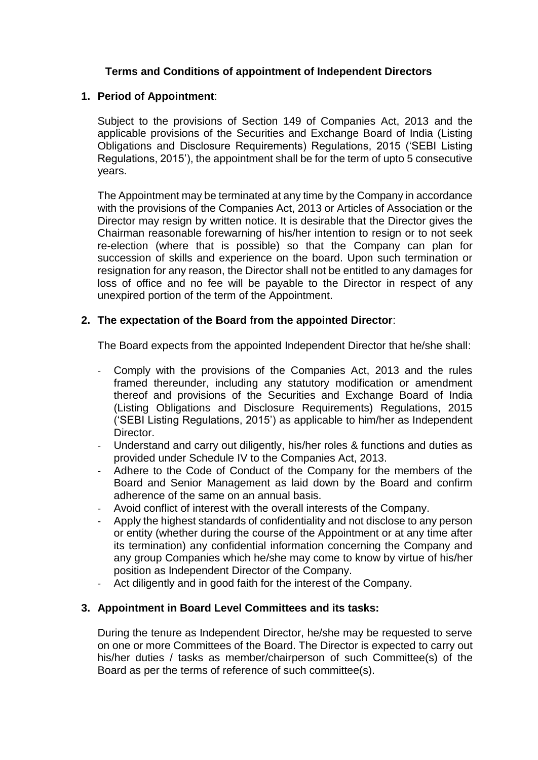# **Terms and Conditions of appointment of Independent Directors**

#### **1. Period of Appointment**:

Subject to the provisions of Section 149 of Companies Act, 2013 and the applicable provisions of the Securities and Exchange Board of India (Listing Obligations and Disclosure Requirements) Regulations, 2015 ('SEBI Listing Regulations, 2015'), the appointment shall be for the term of upto 5 consecutive years.

The Appointment may be terminated at any time by the Company in accordance with the provisions of the Companies Act, 2013 or Articles of Association or the Director may resign by written notice. It is desirable that the Director gives the Chairman reasonable forewarning of his/her intention to resign or to not seek re-election (where that is possible) so that the Company can plan for succession of skills and experience on the board. Upon such termination or resignation for any reason, the Director shall not be entitled to any damages for loss of office and no fee will be payable to the Director in respect of any unexpired portion of the term of the Appointment.

# **2. The expectation of the Board from the appointed Director**:

The Board expects from the appointed Independent Director that he/she shall:

- Comply with the provisions of the Companies Act, 2013 and the rules framed thereunder, including any statutory modification or amendment thereof and provisions of the Securities and Exchange Board of India (Listing Obligations and Disclosure Requirements) Regulations, 2015 ('SEBI Listing Regulations, 2015') as applicable to him/her as Independent Director.
- Understand and carry out diligently, his/her roles & functions and duties as provided under Schedule IV to the Companies Act, 2013.
- Adhere to the Code of Conduct of the Company for the members of the Board and Senior Management as laid down by the Board and confirm adherence of the same on an annual basis.
- Avoid conflict of interest with the overall interests of the Company.
- Apply the highest standards of confidentiality and not disclose to any person or entity (whether during the course of the Appointment or at any time after its termination) any confidential information concerning the Company and any group Companies which he/she may come to know by virtue of his/her position as Independent Director of the Company.
- Act diligently and in good faith for the interest of the Company.

#### **3. Appointment in Board Level Committees and its tasks:**

During the tenure as Independent Director, he/she may be requested to serve on one or more Committees of the Board. The Director is expected to carry out his/her duties / tasks as member/chairperson of such Committee(s) of the Board as per the terms of reference of such committee(s).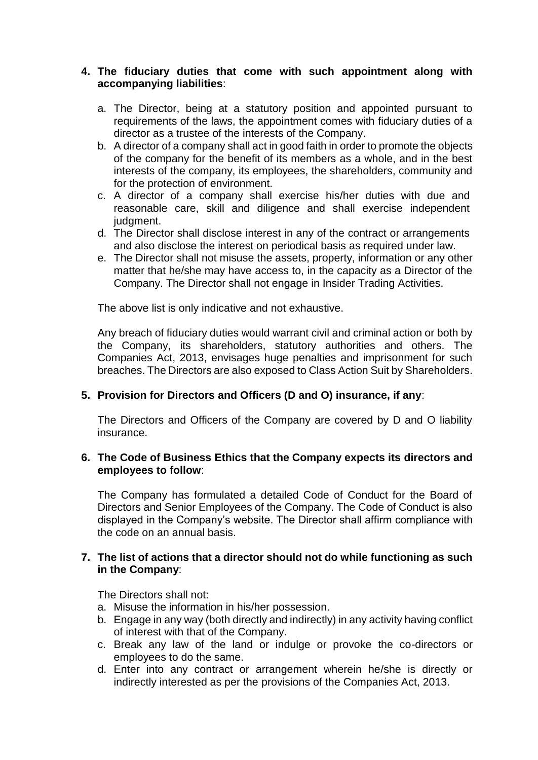# **4. The fiduciary duties that come with such appointment along with accompanying liabilities**:

- a. The Director, being at a statutory position and appointed pursuant to requirements of the laws, the appointment comes with fiduciary duties of a director as a trustee of the interests of the Company.
- b. A director of a company shall act in good faith in order to promote the objects of the company for the benefit of its members as a whole, and in the best interests of the company, its employees, the shareholders, community and for the protection of environment.
- c. A director of a company shall exercise his/her duties with due and reasonable care, skill and diligence and shall exercise independent judgment.
- d. The Director shall disclose interest in any of the contract or arrangements and also disclose the interest on periodical basis as required under law.
- e. The Director shall not misuse the assets, property, information or any other matter that he/she may have access to, in the capacity as a Director of the Company. The Director shall not engage in Insider Trading Activities.

The above list is only indicative and not exhaustive.

Any breach of fiduciary duties would warrant civil and criminal action or both by the Company, its shareholders, statutory authorities and others. The Companies Act, 2013, envisages huge penalties and imprisonment for such breaches. The Directors are also exposed to Class Action Suit by Shareholders.

# **5. Provision for Directors and Officers (D and O) insurance, if any**:

The Directors and Officers of the Company are covered by D and O liability insurance.

# **6. The Code of Business Ethics that the Company expects its directors and employees to follow**:

The Company has formulated a detailed Code of Conduct for the Board of Directors and Senior Employees of the Company. The Code of Conduct is also displayed in the Company's website. The Director shall affirm compliance with the code on an annual basis.

# **7. The list of actions that a director should not do while functioning as such in the Company**:

The Directors shall not:

- a. Misuse the information in his/her possession.
- b. Engage in any way (both directly and indirectly) in any activity having conflict of interest with that of the Company.
- c. Break any law of the land or indulge or provoke the co-directors or employees to do the same.
- d. Enter into any contract or arrangement wherein he/she is directly or indirectly interested as per the provisions of the Companies Act, 2013.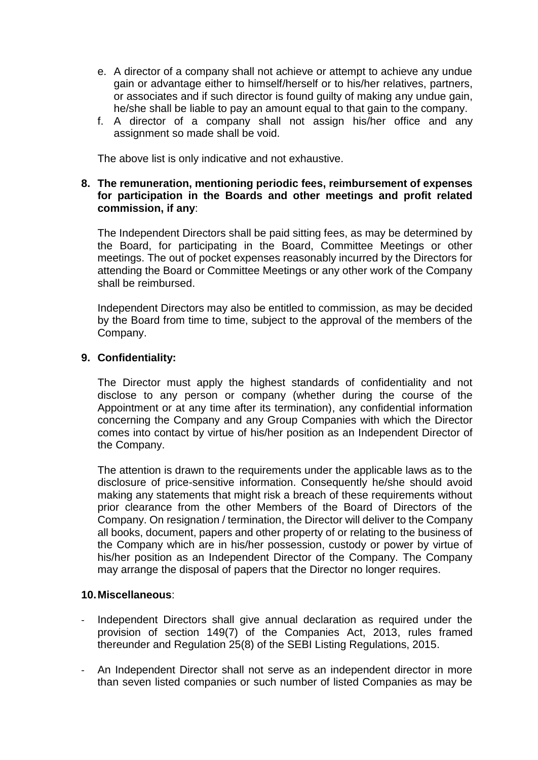- e. A director of a company shall not achieve or attempt to achieve any undue gain or advantage either to himself/herself or to his/her relatives, partners, or associates and if such director is found guilty of making any undue gain, he/she shall be liable to pay an amount equal to that gain to the company.
- f. A director of a company shall not assign his/her office and any assignment so made shall be void.

The above list is only indicative and not exhaustive.

# **8. The remuneration, mentioning periodic fees, reimbursement of expenses for participation in the Boards and other meetings and profit related commission, if any**:

The Independent Directors shall be paid sitting fees, as may be determined by the Board, for participating in the Board, Committee Meetings or other meetings. The out of pocket expenses reasonably incurred by the Directors for attending the Board or Committee Meetings or any other work of the Company shall be reimbursed.

Independent Directors may also be entitled to commission, as may be decided by the Board from time to time, subject to the approval of the members of the Company.

# **9. Confidentiality:**

The Director must apply the highest standards of confidentiality and not disclose to any person or company (whether during the course of the Appointment or at any time after its termination), any confidential information concerning the Company and any Group Companies with which the Director comes into contact by virtue of his/her position as an Independent Director of the Company.

The attention is drawn to the requirements under the applicable laws as to the disclosure of price-sensitive information. Consequently he/she should avoid making any statements that might risk a breach of these requirements without prior clearance from the other Members of the Board of Directors of the Company. On resignation / termination, the Director will deliver to the Company all books, document, papers and other property of or relating to the business of the Company which are in his/her possession, custody or power by virtue of his/her position as an Independent Director of the Company. The Company may arrange the disposal of papers that the Director no longer requires.

#### **10.Miscellaneous**:

- Independent Directors shall give annual declaration as required under the provision of section 149(7) of the Companies Act, 2013, rules framed thereunder and Regulation 25(8) of the SEBI Listing Regulations, 2015.
- An Independent Director shall not serve as an independent director in more than seven listed companies or such number of listed Companies as may be